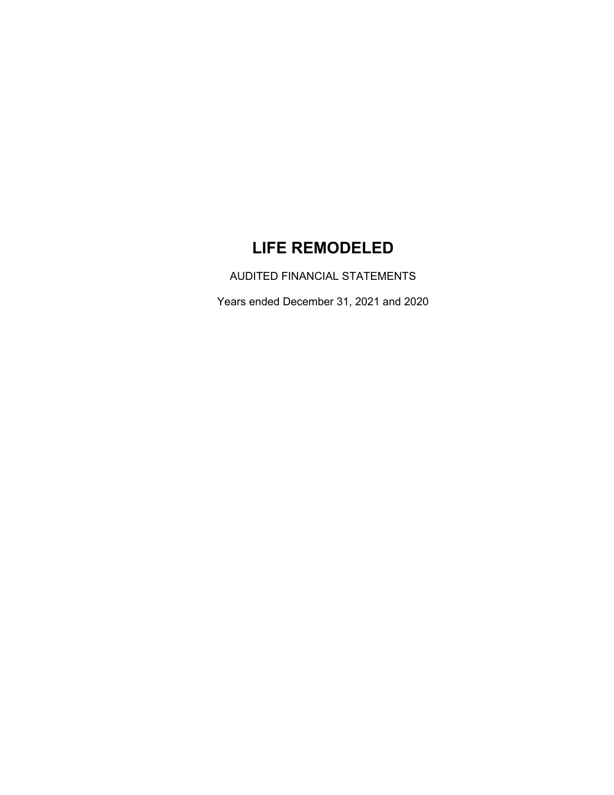# **LIFE REMODELED**

AUDITED FINANCIAL STATEMENTS

Years ended December 31, 2021 and 2020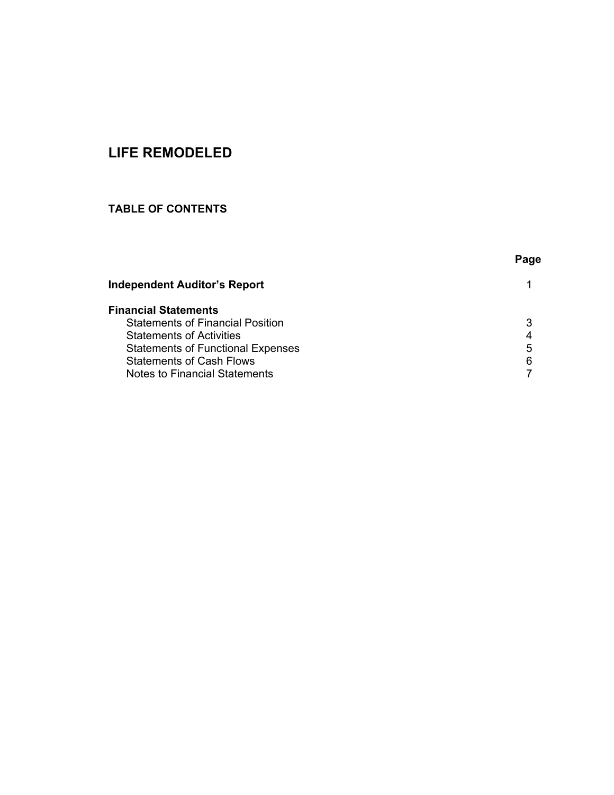# **LIFE REMODELED**

# **TABLE OF CONTENTS**

|                                          | Page |
|------------------------------------------|------|
| <b>Independent Auditor's Report</b>      |      |
| <b>Financial Statements</b>              |      |
| <b>Statements of Financial Position</b>  |      |
| <b>Statements of Activities</b>          |      |
| <b>Statements of Functional Expenses</b> | 5    |
| <b>Statements of Cash Flows</b>          |      |
| Notes to Financial Statements            |      |
|                                          |      |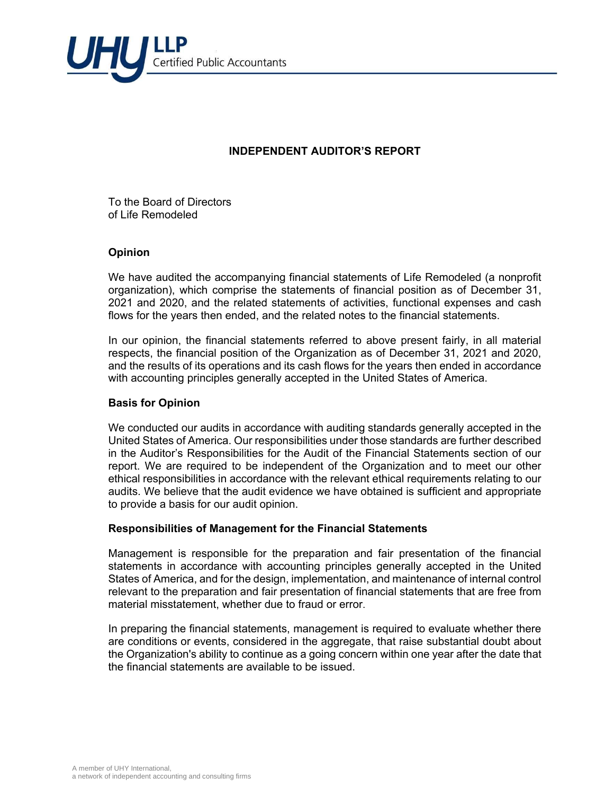

## **INDEPENDENT AUDITOR'S REPORT**

To the Board of Directors of Life Remodeled

#### **Opinion**

We have audited the accompanying financial statements of Life Remodeled (a nonprofit organization), which comprise the statements of financial position as of December 31, 2021 and 2020, and the related statements of activities, functional expenses and cash flows for the years then ended, and the related notes to the financial statements.

In our opinion, the financial statements referred to above present fairly, in all material respects, the financial position of the Organization as of December 31, 2021 and 2020, and the results of its operations and its cash flows for the years then ended in accordance with accounting principles generally accepted in the United States of America.

#### **Basis for Opinion**

We conducted our audits in accordance with auditing standards generally accepted in the United States of America. Our responsibilities under those standards are further described in the Auditor's Responsibilities for the Audit of the Financial Statements section of our report. We are required to be independent of the Organization and to meet our other ethical responsibilities in accordance with the relevant ethical requirements relating to our audits. We believe that the audit evidence we have obtained is sufficient and appropriate to provide a basis for our audit opinion.

#### **Responsibilities of Management for the Financial Statements**

Management is responsible for the preparation and fair presentation of the financial statements in accordance with accounting principles generally accepted in the United States of America, and for the design, implementation, and maintenance of internal control relevant to the preparation and fair presentation of financial statements that are free from material misstatement, whether due to fraud or error.

In preparing the financial statements, management is required to evaluate whether there are conditions or events, considered in the aggregate, that raise substantial doubt about the Organization's ability to continue as a going concern within one year after the date that the financial statements are available to be issued.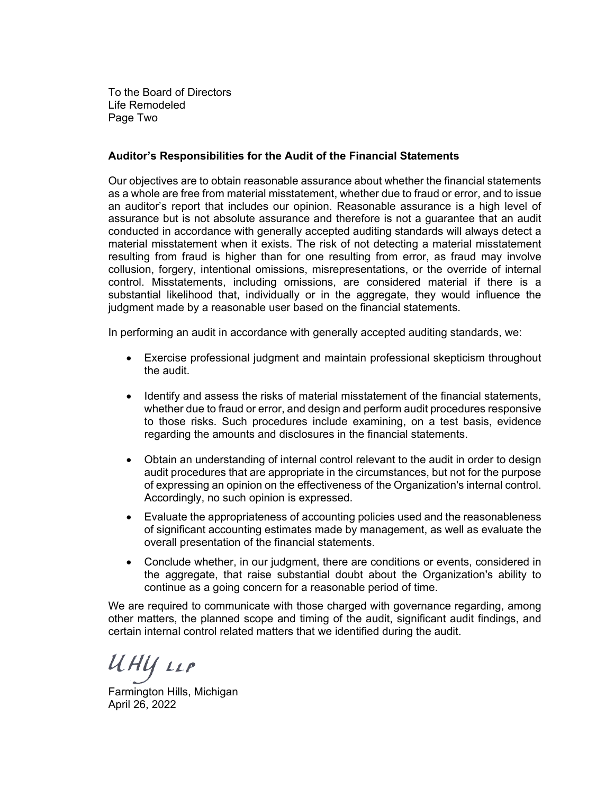To the Board of Directors Life Remodeled Page Two

#### **Auditor's Responsibilities for the Audit of the Financial Statements**

Our objectives are to obtain reasonable assurance about whether the financial statements as a whole are free from material misstatement, whether due to fraud or error, and to issue an auditor's report that includes our opinion. Reasonable assurance is a high level of assurance but is not absolute assurance and therefore is not a guarantee that an audit conducted in accordance with generally accepted auditing standards will always detect a material misstatement when it exists. The risk of not detecting a material misstatement resulting from fraud is higher than for one resulting from error, as fraud may involve collusion, forgery, intentional omissions, misrepresentations, or the override of internal control. Misstatements, including omissions, are considered material if there is a substantial likelihood that, individually or in the aggregate, they would influence the judgment made by a reasonable user based on the financial statements.

In performing an audit in accordance with generally accepted auditing standards, we:

- Exercise professional judgment and maintain professional skepticism throughout the audit.
- Identify and assess the risks of material misstatement of the financial statements, whether due to fraud or error, and design and perform audit procedures responsive to those risks. Such procedures include examining, on a test basis, evidence regarding the amounts and disclosures in the financial statements.
- Obtain an understanding of internal control relevant to the audit in order to design audit procedures that are appropriate in the circumstances, but not for the purpose of expressing an opinion on the effectiveness of the Organization's internal control. Accordingly, no such opinion is expressed.
- Evaluate the appropriateness of accounting policies used and the reasonableness of significant accounting estimates made by management, as well as evaluate the overall presentation of the financial statements.
- Conclude whether, in our judgment, there are conditions or events, considered in the aggregate, that raise substantial doubt about the Organization's ability to continue as a going concern for a reasonable period of time.

We are required to communicate with those charged with governance regarding, among other matters, the planned scope and timing of the audit, significant audit findings, and certain internal control related matters that we identified during the audit.

ИНЦ 11Р

Farmington Hills, Michigan April 26, 2022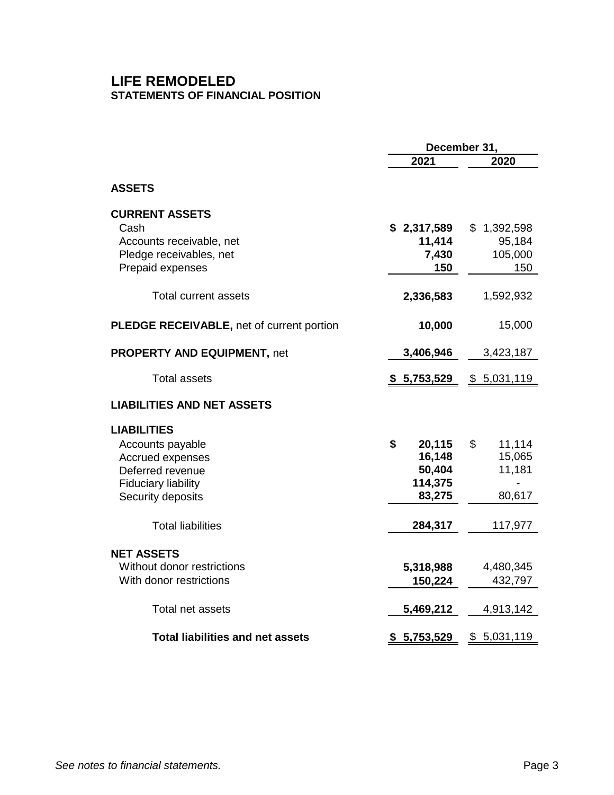# **LIFE REMODELED STATEMENTS OF FINANCIAL POSITION**

|                                                                                                                                   | December 31,                                          |                                            |  |  |
|-----------------------------------------------------------------------------------------------------------------------------------|-------------------------------------------------------|--------------------------------------------|--|--|
|                                                                                                                                   | 2021                                                  | 2020                                       |  |  |
| <b>ASSETS</b>                                                                                                                     |                                                       |                                            |  |  |
| <b>CURRENT ASSETS</b><br>Cash<br>Accounts receivable, net<br>Pledge receivables, net<br>Prepaid expenses                          | \$2,317,589<br>11,414<br>7,430<br>150                 | \$1,392,598<br>95,184<br>105,000<br>150    |  |  |
| <b>Total current assets</b>                                                                                                       | 2,336,583                                             | 1,592,932                                  |  |  |
| <b>PLEDGE RECEIVABLE, net of current portion</b>                                                                                  | 10,000                                                | 15,000                                     |  |  |
| <b>PROPERTY AND EQUIPMENT, net</b>                                                                                                | 3,406,946                                             | 3,423,187                                  |  |  |
| <b>Total assets</b>                                                                                                               | <u>\$5,753,529</u>                                    | <u>\$5,031,119</u>                         |  |  |
| <b>LIABILITIES AND NET ASSETS</b>                                                                                                 |                                                       |                                            |  |  |
| <b>LIABILITIES</b><br>Accounts payable<br>Accrued expenses<br>Deferred revenue<br><b>Fiduciary liability</b><br>Security deposits | \$<br>20,115<br>16,148<br>50,404<br>114,375<br>83,275 | \$<br>11,114<br>15,065<br>11,181<br>80,617 |  |  |
| <b>Total liabilities</b>                                                                                                          | 284,317                                               | 117,977                                    |  |  |
| <b>NET ASSETS</b><br>Without donor restrictions<br>With donor restrictions                                                        | 5,318,988<br>150,224                                  | 4,480,345<br>432,797                       |  |  |
| Total net assets                                                                                                                  | 5,469,212                                             | 4,913,142                                  |  |  |
| <b>Total liabilities and net assets</b>                                                                                           | 5,753,529<br>\$                                       | \$ 5,031,119                               |  |  |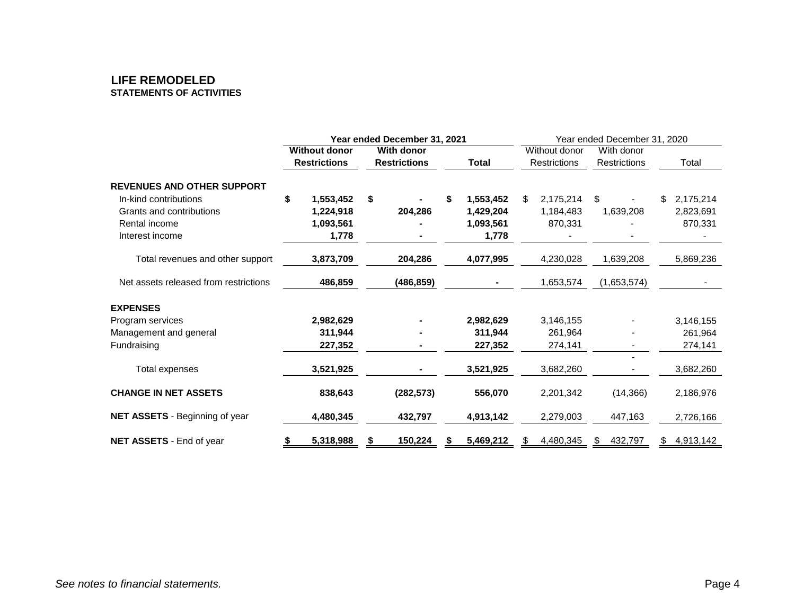#### **LIFE REMODELED STATEMENTS OF ACTIVITIES**

|                                       | Year ended December 31, 2021 |                      |            |                     | Year ended December 31, 2020 |               |                     |            |              |    |           |
|---------------------------------------|------------------------------|----------------------|------------|---------------------|------------------------------|---------------|---------------------|------------|--------------|----|-----------|
|                                       |                              | <b>Without donor</b> | With donor |                     |                              | Without donor |                     | With donor |              |    |           |
|                                       |                              | <b>Restrictions</b>  |            | <b>Restrictions</b> | <b>Total</b>                 |               | <b>Restrictions</b> |            | Restrictions |    | Total     |
| <b>REVENUES AND OTHER SUPPORT</b>     |                              |                      |            |                     |                              |               |                     |            |              |    |           |
| In-kind contributions                 | \$                           | 1,553,452            | \$         |                     | \$<br>1,553,452              | \$            | 2,175,214           | \$         |              | \$ | 2,175,214 |
| Grants and contributions              |                              | 1,224,918            |            | 204,286             | 1,429,204                    |               | 1,184,483           |            | 1,639,208    |    | 2,823,691 |
| Rental income                         |                              | 1,093,561            |            |                     | 1,093,561                    |               | 870,331             |            |              |    | 870,331   |
| Interest income                       |                              | 1,778                |            |                     | 1,778                        |               |                     |            |              |    |           |
| Total revenues and other support      |                              | 3,873,709            |            | 204,286             | 4,077,995                    |               | 4,230,028           |            | 1,639,208    |    | 5,869,236 |
| Net assets released from restrictions |                              | 486,859              |            | (486, 859)          |                              |               | 1,653,574           |            | (1,653,574)  |    |           |
| <b>EXPENSES</b>                       |                              |                      |            |                     |                              |               |                     |            |              |    |           |
| Program services                      |                              | 2,982,629            |            |                     | 2,982,629                    |               | 3,146,155           |            |              |    | 3,146,155 |
| Management and general                |                              | 311,944              |            |                     | 311,944                      |               | 261,964             |            |              |    | 261,964   |
| Fundraising                           |                              | 227,352              |            |                     | 227,352                      |               | 274,141             |            |              |    | 274,141   |
| Total expenses                        |                              | 3,521,925            |            |                     | 3,521,925                    |               | 3,682,260           |            |              |    | 3,682,260 |
| <b>CHANGE IN NET ASSETS</b>           |                              | 838,643              |            | (282, 573)          | 556,070                      |               | 2,201,342           |            | (14, 366)    |    | 2,186,976 |
| NET ASSETS - Beginning of year        |                              | 4,480,345            |            | 432,797             | 4,913,142                    |               | 2,279,003           |            | 447,163      |    | 2,726,166 |
| NET ASSETS - End of year              |                              | 5,318,988            |            | 150,224             | 5,469,212                    |               | 4,480,345           | S.         | 432,797      |    | 4,913,142 |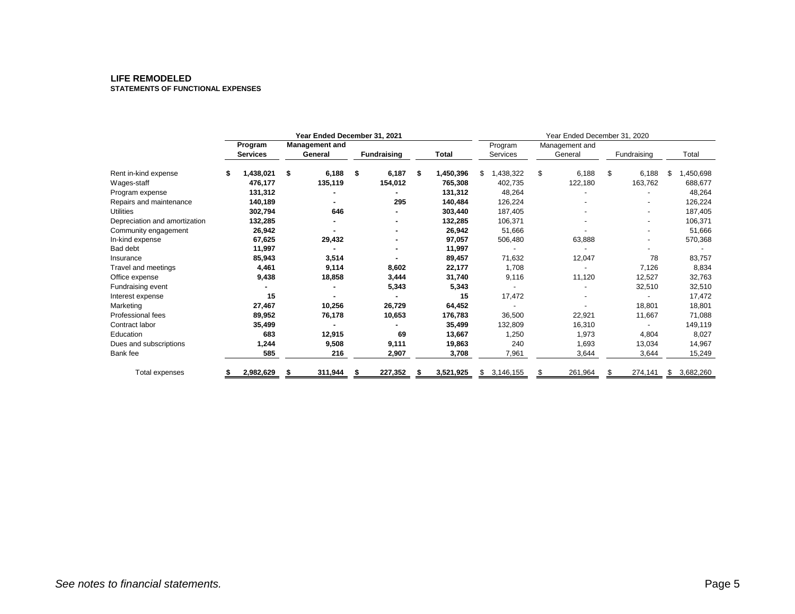#### **LIFE REMODELED STATEMENTS OF FUNCTIONAL EXPENSES**

|                               | Year Ended December 31, 2021 |                            |    |                                  | Year Ended December 31, 2020 |         |                 |    |           |    |         |                     |         |                           |  |             |  |       |
|-------------------------------|------------------------------|----------------------------|----|----------------------------------|------------------------------|---------|-----------------|----|-----------|----|---------|---------------------|---------|---------------------------|--|-------------|--|-------|
|                               |                              | Program<br><b>Services</b> |    | <b>Management and</b><br>General | <b>Fundraising</b>           |         |                 |    |           |    | Total   | Program<br>Services |         | Management and<br>General |  | Fundraising |  | Total |
| Rent in-kind expense          | \$                           | 1,438,021                  | \$ | 6,188                            | \$                           | 6,187   | \$<br>1,450,396 | \$ | 1,438,322 | \$ | 6,188   | \$                  | 6,188   | \$<br>1,450,698           |  |             |  |       |
| Wages-staff                   |                              | 476,177                    |    | 135,119                          |                              | 154,012 | 765,308         |    | 402,735   |    | 122,180 |                     | 163,762 | 688,677                   |  |             |  |       |
| Program expense               |                              | 131,312                    |    |                                  |                              |         | 131,312         |    | 48,264    |    |         |                     |         | 48,264                    |  |             |  |       |
| Repairs and maintenance       |                              | 140,189                    |    |                                  |                              | 295     | 140,484         |    | 126,224   |    |         |                     |         | 126,224                   |  |             |  |       |
| <b>Utilities</b>              |                              | 302,794                    |    | 646                              |                              |         | 303,440         |    | 187,405   |    |         |                     |         | 187,405                   |  |             |  |       |
| Depreciation and amortization |                              | 132,285                    |    |                                  |                              |         | 132,285         |    | 106,371   |    |         |                     |         | 106,371                   |  |             |  |       |
| Community engagement          |                              | 26,942                     |    |                                  |                              |         | 26,942          |    | 51,666    |    |         |                     |         | 51,666                    |  |             |  |       |
| In-kind expense               |                              | 67,625                     |    | 29,432                           |                              |         | 97,057          |    | 506,480   |    | 63,888  |                     |         | 570,368                   |  |             |  |       |
| Bad debt                      |                              | 11,997                     |    |                                  |                              |         | 11,997          |    |           |    |         |                     |         |                           |  |             |  |       |
| Insurance                     |                              | 85,943                     |    | 3,514                            |                              |         | 89,457          |    | 71,632    |    | 12,047  |                     | 78      | 83,757                    |  |             |  |       |
| Travel and meetings           |                              | 4,461                      |    | 9,114                            |                              | 8,602   | 22,177          |    | 1,708     |    |         |                     | 7,126   | 8,834                     |  |             |  |       |
| Office expense                |                              | 9,438                      |    | 18,858                           |                              | 3,444   | 31,740          |    | 9,116     |    | 11,120  |                     | 12,527  | 32,763                    |  |             |  |       |
| Fundraising event             |                              |                            |    |                                  |                              | 5,343   | 5,343           |    |           |    |         |                     | 32,510  | 32,510                    |  |             |  |       |
| Interest expense              |                              | 15                         |    |                                  |                              |         | 15              |    | 17,472    |    |         |                     |         | 17,472                    |  |             |  |       |
| Marketing                     |                              | 27,467                     |    | 10,256                           |                              | 26,729  | 64,452          |    |           |    |         |                     | 18,801  | 18,801                    |  |             |  |       |
| <b>Professional fees</b>      |                              | 89,952                     |    | 76,178                           |                              | 10,653  | 176,783         |    | 36,500    |    | 22,921  |                     | 11,667  | 71,088                    |  |             |  |       |
| Contract labor                |                              | 35,499                     |    |                                  |                              |         | 35,499          |    | 132,809   |    | 16,310  |                     |         | 149,119                   |  |             |  |       |
| Education                     |                              | 683                        |    | 12,915                           |                              | 69      | 13,667          |    | 1,250     |    | 1,973   |                     | 4,804   | 8,027                     |  |             |  |       |
| Dues and subscriptions        |                              | 1,244                      |    | 9,508                            |                              | 9,111   | 19,863          |    | 240       |    | 1,693   |                     | 13,034  | 14,967                    |  |             |  |       |
| Bank fee                      |                              | 585                        |    | 216                              |                              | 2,907   | 3,708           |    | 7,961     |    | 3,644   |                     | 3,644   | 15,249                    |  |             |  |       |
| Total expenses                |                              | 2,982,629                  | S  | 311,944                          | S                            | 227,352 | 3,521,925       | S  | 3,146,155 |    | 261,964 |                     | 274,141 | \$<br>3,682,260           |  |             |  |       |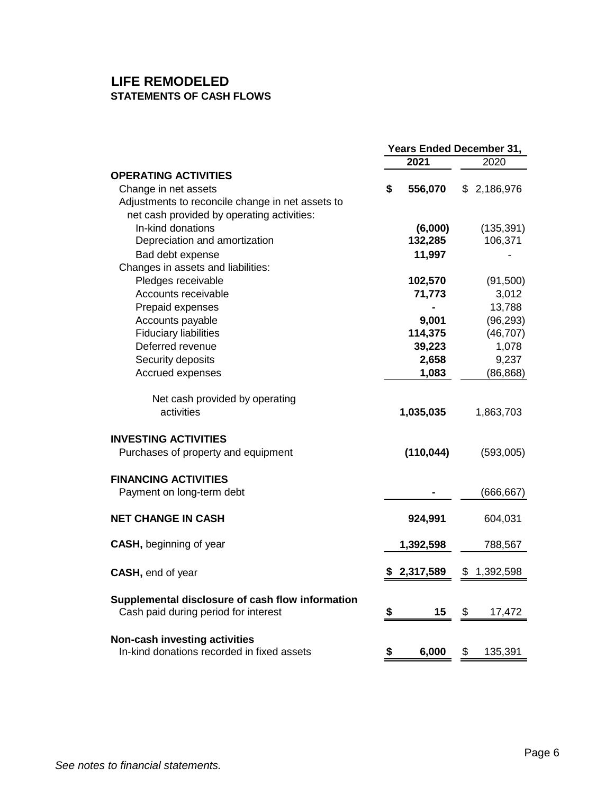# **LIFE REMODELED STATEMENTS OF CASH FLOWS**

|                                                                                          | <b>Years Ended December 31,</b> |            |    |             |
|------------------------------------------------------------------------------------------|---------------------------------|------------|----|-------------|
|                                                                                          |                                 | 2021       |    | 2020        |
| <b>OPERATING ACTIVITIES</b>                                                              |                                 |            |    |             |
| Change in net assets                                                                     | \$                              | 556,070    |    | \$2,186,976 |
| Adjustments to reconcile change in net assets to                                         |                                 |            |    |             |
| net cash provided by operating activities:                                               |                                 |            |    |             |
| In-kind donations                                                                        |                                 | (6,000)    |    | (135, 391)  |
| Depreciation and amortization                                                            |                                 | 132,285    |    | 106,371     |
| Bad debt expense                                                                         |                                 | 11,997     |    |             |
| Changes in assets and liabilities:                                                       |                                 |            |    |             |
| Pledges receivable                                                                       |                                 | 102,570    |    | (91,500)    |
| Accounts receivable                                                                      |                                 | 71,773     |    | 3,012       |
| Prepaid expenses                                                                         |                                 |            |    | 13,788      |
| Accounts payable                                                                         |                                 | 9,001      |    | (96, 293)   |
| <b>Fiduciary liabilities</b>                                                             |                                 | 114,375    |    | (46, 707)   |
| Deferred revenue                                                                         |                                 | 39,223     |    | 1,078       |
| Security deposits                                                                        |                                 | 2,658      |    | 9,237       |
| Accrued expenses                                                                         |                                 | 1,083      |    | (86, 868)   |
| Net cash provided by operating<br>activities                                             |                                 | 1,035,035  |    | 1,863,703   |
| <b>INVESTING ACTIVITIES</b>                                                              |                                 |            |    |             |
| Purchases of property and equipment                                                      |                                 | (110, 044) |    | (593,005)   |
| <b>FINANCING ACTIVITIES</b>                                                              |                                 |            |    |             |
| Payment on long-term debt                                                                |                                 |            |    | (666, 667)  |
| <b>NET CHANGE IN CASH</b>                                                                |                                 | 924,991    |    | 604,031     |
| <b>CASH</b> , beginning of year                                                          |                                 | 1,392,598  |    | 788,567     |
| <b>CASH, end of year</b>                                                                 |                                 | 2,317,589  | \$ | 1,392,598   |
| Supplemental disclosure of cash flow information<br>Cash paid during period for interest | \$                              | 15         | \$ | 17,472      |
|                                                                                          |                                 |            |    |             |
| Non-cash investing activities<br>In-kind donations recorded in fixed assets              | \$                              | 6,000      | \$ | 135,391     |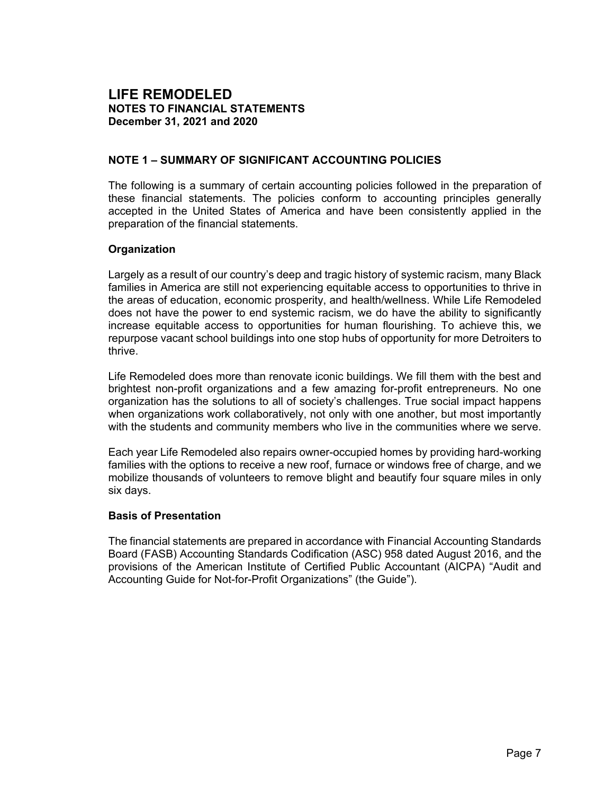#### **NOTE 1 – SUMMARY OF SIGNIFICANT ACCOUNTING POLICIES**

The following is a summary of certain accounting policies followed in the preparation of these financial statements. The policies conform to accounting principles generally accepted in the United States of America and have been consistently applied in the preparation of the financial statements.

#### **Organization**

Largely as a result of our country's deep and tragic history of systemic racism, many Black families in America are still not experiencing equitable access to opportunities to thrive in the areas of education, economic prosperity, and health/wellness. While Life Remodeled does not have the power to end systemic racism, we do have the ability to significantly increase equitable access to opportunities for human flourishing. To achieve this, we repurpose vacant school buildings into one stop hubs of opportunity for more Detroiters to thrive.

Life Remodeled does more than renovate iconic buildings. We fill them with the best and brightest non-profit organizations and a few amazing for-profit entrepreneurs. No one organization has the solutions to all of society's challenges. True social impact happens when organizations work collaboratively, not only with one another, but most importantly with the students and community members who live in the communities where we serve.

Each year Life Remodeled also repairs owner-occupied homes by providing hard-working families with the options to receive a new roof, furnace or windows free of charge, and we mobilize thousands of volunteers to remove blight and beautify four square miles in only six days.

#### **Basis of Presentation**

The financial statements are prepared in accordance with Financial Accounting Standards Board (FASB) Accounting Standards Codification (ASC) 958 dated August 2016, and the provisions of the American Institute of Certified Public Accountant (AICPA) "Audit and Accounting Guide for Not-for-Profit Organizations" (the Guide").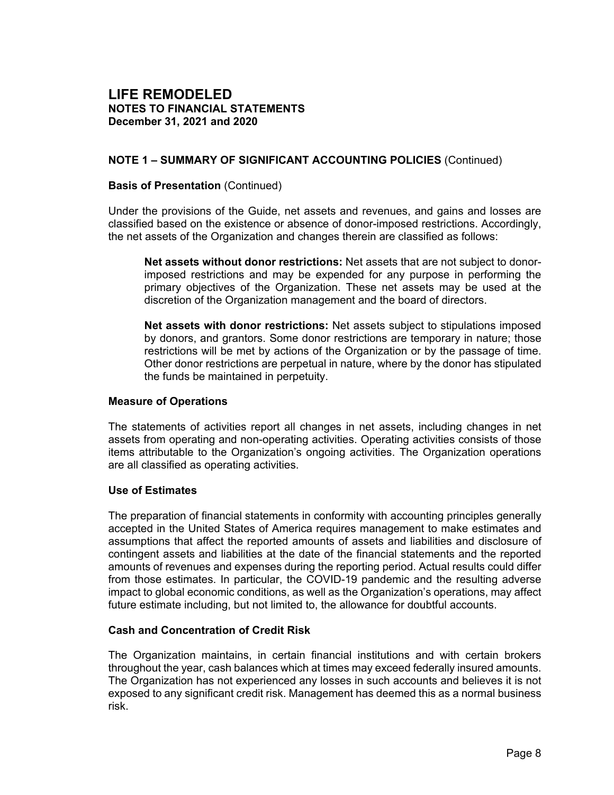## **NOTE 1 – SUMMARY OF SIGNIFICANT ACCOUNTING POLICIES** (Continued)

#### **Basis of Presentation** (Continued)

Under the provisions of the Guide, net assets and revenues, and gains and losses are classified based on the existence or absence of donor-imposed restrictions. Accordingly, the net assets of the Organization and changes therein are classified as follows:

**Net assets without donor restrictions:** Net assets that are not subject to donorimposed restrictions and may be expended for any purpose in performing the primary objectives of the Organization. These net assets may be used at the discretion of the Organization management and the board of directors.

**Net assets with donor restrictions:** Net assets subject to stipulations imposed by donors, and grantors. Some donor restrictions are temporary in nature; those restrictions will be met by actions of the Organization or by the passage of time. Other donor restrictions are perpetual in nature, where by the donor has stipulated the funds be maintained in perpetuity.

#### **Measure of Operations**

The statements of activities report all changes in net assets, including changes in net assets from operating and non-operating activities. Operating activities consists of those items attributable to the Organization's ongoing activities. The Organization operations are all classified as operating activities.

#### **Use of Estimates**

The preparation of financial statements in conformity with accounting principles generally accepted in the United States of America requires management to make estimates and assumptions that affect the reported amounts of assets and liabilities and disclosure of contingent assets and liabilities at the date of the financial statements and the reported amounts of revenues and expenses during the reporting period. Actual results could differ from those estimates. In particular, the COVID-19 pandemic and the resulting adverse impact to global economic conditions, as well as the Organization's operations, may affect future estimate including, but not limited to, the allowance for doubtful accounts.

#### **Cash and Concentration of Credit Risk**

The Organization maintains, in certain financial institutions and with certain brokers throughout the year, cash balances which at times may exceed federally insured amounts. The Organization has not experienced any losses in such accounts and believes it is not exposed to any significant credit risk. Management has deemed this as a normal business risk.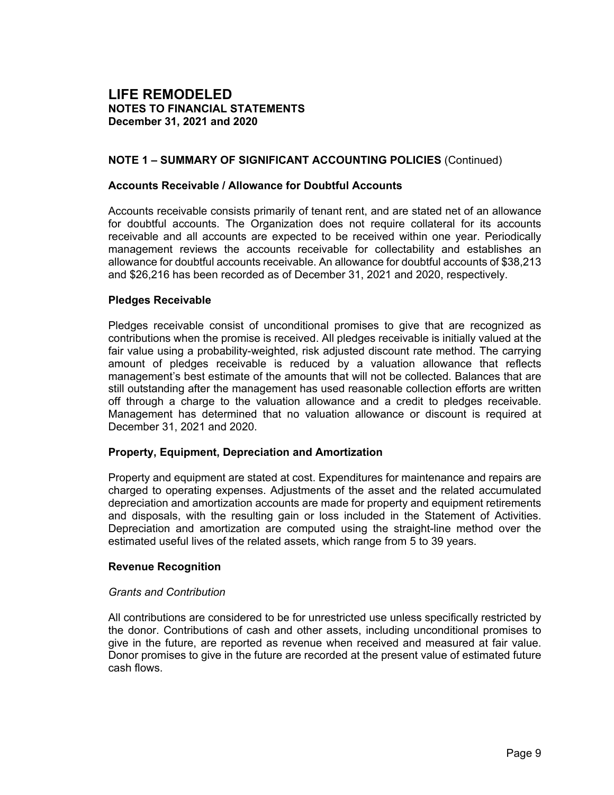#### **NOTE 1 – SUMMARY OF SIGNIFICANT ACCOUNTING POLICIES** (Continued)

#### **Accounts Receivable / Allowance for Doubtful Accounts**

Accounts receivable consists primarily of tenant rent, and are stated net of an allowance for doubtful accounts. The Organization does not require collateral for its accounts receivable and all accounts are expected to be received within one year. Periodically management reviews the accounts receivable for collectability and establishes an allowance for doubtful accounts receivable. An allowance for doubtful accounts of \$38,213 and \$26,216 has been recorded as of December 31, 2021 and 2020, respectively.

#### **Pledges Receivable**

Pledges receivable consist of unconditional promises to give that are recognized as contributions when the promise is received. All pledges receivable is initially valued at the fair value using a probability-weighted, risk adjusted discount rate method. The carrying amount of pledges receivable is reduced by a valuation allowance that reflects management's best estimate of the amounts that will not be collected. Balances that are still outstanding after the management has used reasonable collection efforts are written off through a charge to the valuation allowance and a credit to pledges receivable. Management has determined that no valuation allowance or discount is required at December 31, 2021 and 2020.

#### **Property, Equipment, Depreciation and Amortization**

Property and equipment are stated at cost. Expenditures for maintenance and repairs are charged to operating expenses. Adjustments of the asset and the related accumulated depreciation and amortization accounts are made for property and equipment retirements and disposals, with the resulting gain or loss included in the Statement of Activities. Depreciation and amortization are computed using the straight-line method over the estimated useful lives of the related assets, which range from 5 to 39 years.

#### **Revenue Recognition**

#### *Grants and Contribution*

All contributions are considered to be for unrestricted use unless specifically restricted by the donor. Contributions of cash and other assets, including unconditional promises to give in the future, are reported as revenue when received and measured at fair value. Donor promises to give in the future are recorded at the present value of estimated future cash flows.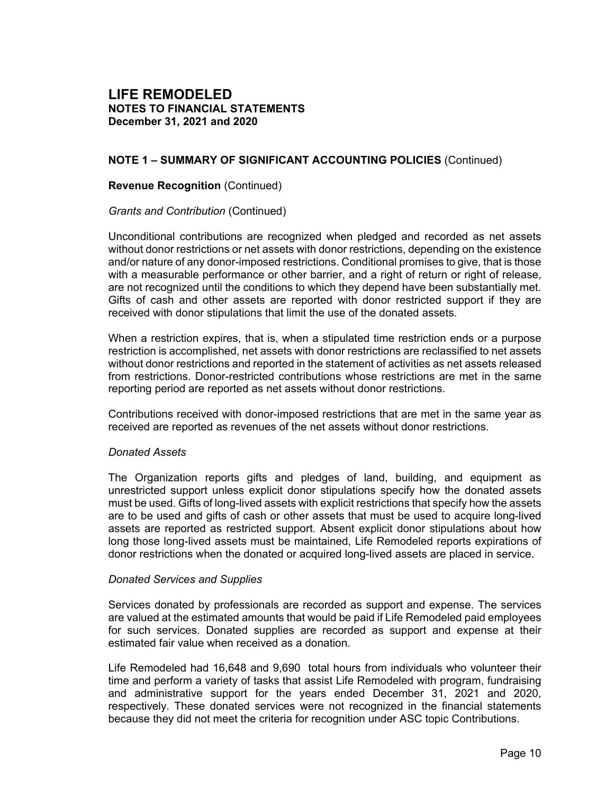## **NOTE 1 – SUMMARY OF SIGNIFICANT ACCOUNTING POLICIES** (Continued)

#### **Revenue Recognition** (Continued)

#### *Grants and Contribution* (Continued)

Unconditional contributions are recognized when pledged and recorded as net assets without donor restrictions or net assets with donor restrictions, depending on the existence and/or nature of any donor-imposed restrictions. Conditional promises to give, that is those with a measurable performance or other barrier, and a right of return or right of release, are not recognized until the conditions to which they depend have been substantially met. Gifts of cash and other assets are reported with donor restricted support if they are received with donor stipulations that limit the use of the donated assets.

When a restriction expires, that is, when a stipulated time restriction ends or a purpose restriction is accomplished, net assets with donor restrictions are reclassified to net assets without donor restrictions and reported in the statement of activities as net assets released from restrictions. Donor-restricted contributions whose restrictions are met in the same reporting period are reported as net assets without donor restrictions.

Contributions received with donor-imposed restrictions that are met in the same year as received are reported as revenues of the net assets without donor restrictions.

#### *Donated Assets*

The Organization reports gifts and pledges of land, building, and equipment as unrestricted support unless explicit donor stipulations specify how the donated assets must be used. Gifts of long-lived assets with explicit restrictions that specify how the assets are to be used and gifts of cash or other assets that must be used to acquire long-lived assets are reported as restricted support. Absent explicit donor stipulations about how long those long-lived assets must be maintained, Life Remodeled reports expirations of donor restrictions when the donated or acquired long-lived assets are placed in service.

#### *Donated Services and Supplies*

Services donated by professionals are recorded as support and expense. The services are valued at the estimated amounts that would be paid if Life Remodeled paid employees for such services. Donated supplies are recorded as support and expense at their estimated fair value when received as a donation.

Life Remodeled had 16,648 and 9,690 total hours from individuals who volunteer their time and perform a variety of tasks that assist Life Remodeled with program, fundraising and administrative support for the years ended December 31, 2021 and 2020, respectively. These donated services were not recognized in the financial statements because they did not meet the criteria for recognition under ASC topic Contributions.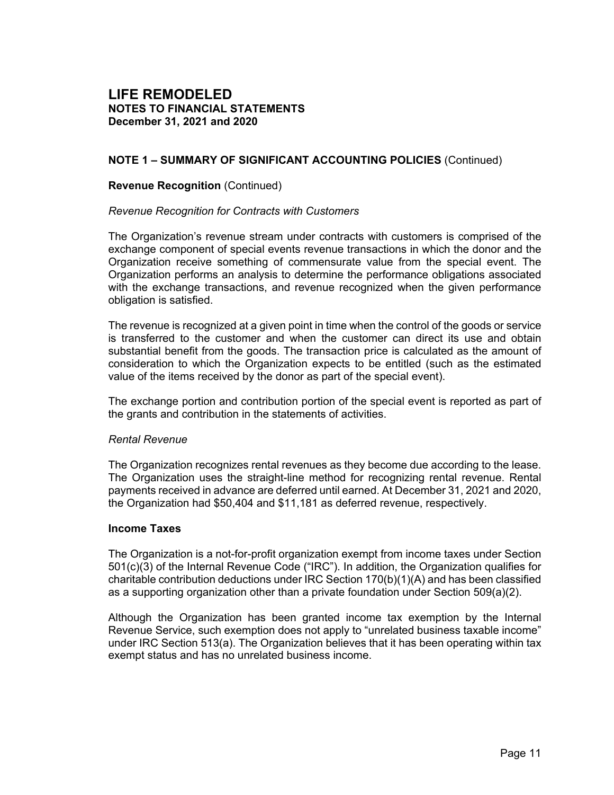## **NOTE 1 – SUMMARY OF SIGNIFICANT ACCOUNTING POLICIES** (Continued)

#### **Revenue Recognition** (Continued)

#### *Revenue Recognition for Contracts with Customers*

The Organization's revenue stream under contracts with customers is comprised of the exchange component of special events revenue transactions in which the donor and the Organization receive something of commensurate value from the special event. The Organization performs an analysis to determine the performance obligations associated with the exchange transactions, and revenue recognized when the given performance obligation is satisfied.

The revenue is recognized at a given point in time when the control of the goods or service is transferred to the customer and when the customer can direct its use and obtain substantial benefit from the goods. The transaction price is calculated as the amount of consideration to which the Organization expects to be entitled (such as the estimated value of the items received by the donor as part of the special event).

The exchange portion and contribution portion of the special event is reported as part of the grants and contribution in the statements of activities.

#### *Rental Revenue*

The Organization recognizes rental revenues as they become due according to the lease. The Organization uses the straight-line method for recognizing rental revenue. Rental payments received in advance are deferred until earned. At December 31, 2021 and 2020, the Organization had \$50,404 and \$11,181 as deferred revenue, respectively.

#### **Income Taxes**

The Organization is a not-for-profit organization exempt from income taxes under Section 501(c)(3) of the Internal Revenue Code ("IRC"). In addition, the Organization qualifies for charitable contribution deductions under IRC Section  $170(b)(1)(A)$  and has been classified as a supporting organization other than a private foundation under Section 509(a)(2).

Although the Organization has been granted income tax exemption by the Internal Revenue Service, such exemption does not apply to "unrelated business taxable income" under IRC Section 513(a). The Organization believes that it has been operating within tax exempt status and has no unrelated business income.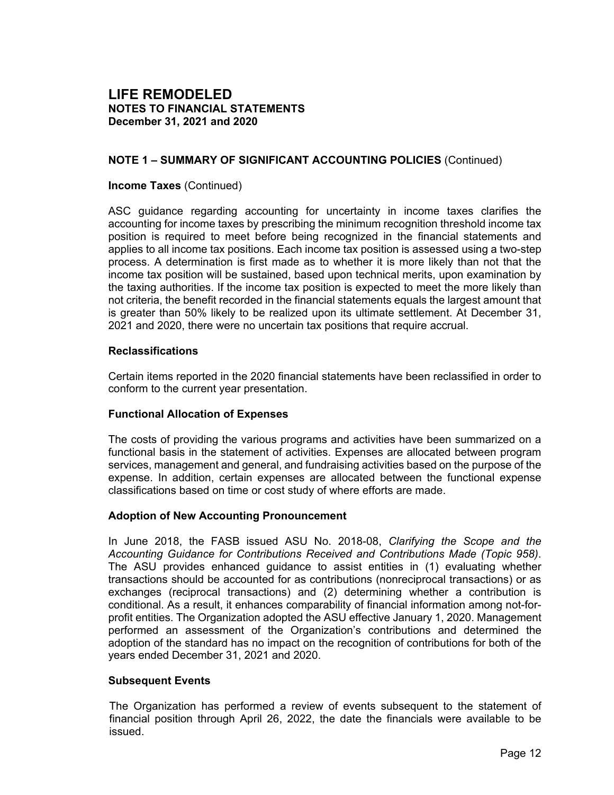## **NOTE 1 – SUMMARY OF SIGNIFICANT ACCOUNTING POLICIES** (Continued)

#### **Income Taxes** (Continued)

ASC guidance regarding accounting for uncertainty in income taxes clarifies the accounting for income taxes by prescribing the minimum recognition threshold income tax position is required to meet before being recognized in the financial statements and applies to all income tax positions. Each income tax position is assessed using a two-step process. A determination is first made as to whether it is more likely than not that the income tax position will be sustained, based upon technical merits, upon examination by the taxing authorities. If the income tax position is expected to meet the more likely than not criteria, the benefit recorded in the financial statements equals the largest amount that is greater than 50% likely to be realized upon its ultimate settlement. At December 31, 2021 and 2020, there were no uncertain tax positions that require accrual.

#### **Reclassifications**

Certain items reported in the 2020 financial statements have been reclassified in order to conform to the current year presentation.

#### **Functional Allocation of Expenses**

The costs of providing the various programs and activities have been summarized on a functional basis in the statement of activities. Expenses are allocated between program services, management and general, and fundraising activities based on the purpose of the expense. In addition, certain expenses are allocated between the functional expense classifications based on time or cost study of where efforts are made.

#### **Adoption of New Accounting Pronouncement**

In June 2018, the FASB issued ASU No. 2018-08, *Clarifying the Scope and the Accounting Guidance for Contributions Received and Contributions Made (Topic 958)*. The ASU provides enhanced guidance to assist entities in (1) evaluating whether transactions should be accounted for as contributions (nonreciprocal transactions) or as exchanges (reciprocal transactions) and (2) determining whether a contribution is conditional. As a result, it enhances comparability of financial information among not-forprofit entities. The Organization adopted the ASU effective January 1, 2020. Management performed an assessment of the Organization's contributions and determined the adoption of the standard has no impact on the recognition of contributions for both of the years ended December 31, 2021 and 2020.

#### **Subsequent Events**

The Organization has performed a review of events subsequent to the statement of financial position through April 26, 2022, the date the financials were available to be issued.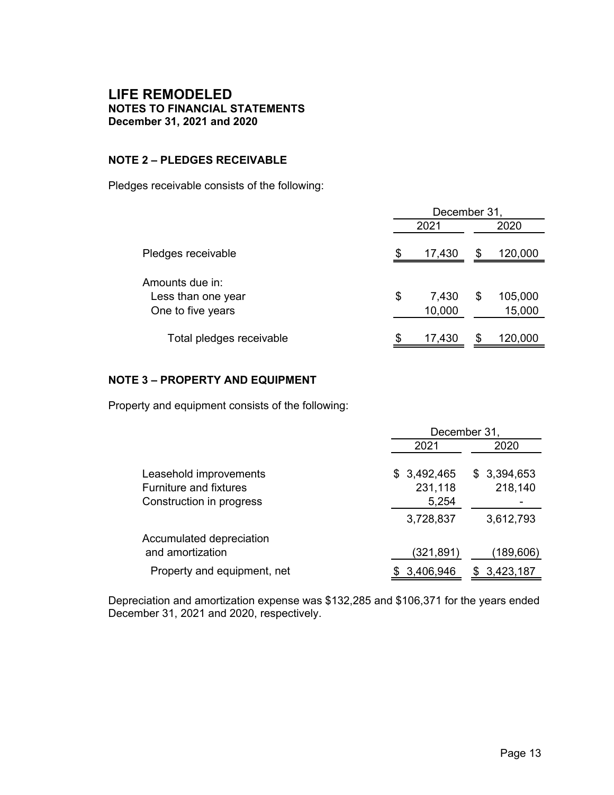## **NOTE 2 – PLEDGES RECEIVABLE**

Pledges receivable consists of the following:

|                                                            | December 31, |                 |    |                   |  |
|------------------------------------------------------------|--------------|-----------------|----|-------------------|--|
|                                                            | 2021         |                 |    | 2020              |  |
| Pledges receivable                                         |              | 17,430          | S  | 120,000           |  |
| Amounts due in:<br>Less than one year<br>One to five years | \$           | 7,430<br>10,000 | \$ | 105,000<br>15,000 |  |
| Total pledges receivable                                   | \$           | 17,430          |    | 120,000           |  |

#### **NOTE 3 – PROPERTY AND EQUIPMENT**

Property and equipment consists of the following:

|                                                                                     | December 31,                    |                        |  |  |  |
|-------------------------------------------------------------------------------------|---------------------------------|------------------------|--|--|--|
|                                                                                     | 2021                            | 2020                   |  |  |  |
| Leasehold improvements<br><b>Furniture and fixtures</b><br>Construction in progress | \$3,492,465<br>231,118<br>5,254 | \$3,394,653<br>218,140 |  |  |  |
|                                                                                     | 3,728,837                       | 3,612,793              |  |  |  |
| Accumulated depreciation<br>and amortization                                        | (321,891)                       | (189,606)              |  |  |  |
| Property and equipment, net                                                         | 3,406,946                       | 3,423,187              |  |  |  |

Depreciation and amortization expense was \$132,285 and \$106,371 for the years ended December 31, 2021 and 2020, respectively.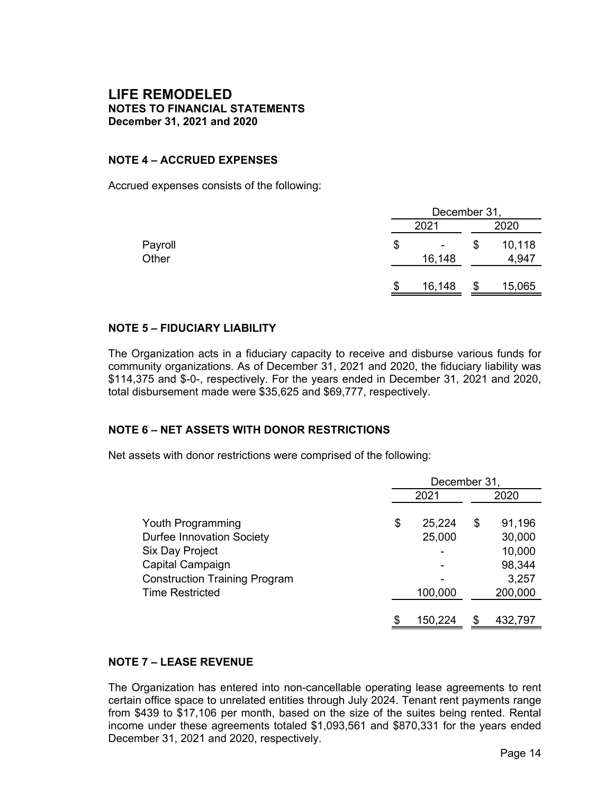#### **NOTE 4 – ACCRUED EXPENSES**

Accrued expenses consists of the following:

|                  |    | December 31,             |   |                 |  |  |
|------------------|----|--------------------------|---|-----------------|--|--|
|                  |    | 2021                     |   | 2020            |  |  |
| Payroll<br>Other | \$ | $\blacksquare$<br>16,148 | S | 10,118<br>4,947 |  |  |
|                  | S  | 16,148                   | S | 15,065          |  |  |

#### **NOTE 5 – FIDUCIARY LIABILITY**

The Organization acts in a fiduciary capacity to receive and disburse various funds for community organizations. As of December 31, 2021 and 2020, the fiduciary liability was \$114,375 and \$-0-, respectively. For the years ended in December 31, 2021 and 2020, total disbursement made were \$35,625 and \$69,777, respectively.

#### **NOTE 6 – NET ASSETS WITH DONOR RESTRICTIONS**

Net assets with donor restrictions were comprised of the following:

|                                      | December 31, |         |    |         |  |
|--------------------------------------|--------------|---------|----|---------|--|
|                                      |              | 2021    |    | 2020    |  |
|                                      |              |         |    |         |  |
| Youth Programming                    | \$           | 25,224  | \$ | 91,196  |  |
| <b>Durfee Innovation Society</b>     |              | 25,000  |    | 30,000  |  |
| Six Day Project                      |              |         |    | 10,000  |  |
| Capital Campaign                     |              |         |    | 98,344  |  |
| <b>Construction Training Program</b> |              |         |    | 3,257   |  |
| <b>Time Restricted</b>               |              | 100,000 |    | 200,000 |  |
|                                      |              |         |    |         |  |
|                                      |              | 150,224 | S  | 432,797 |  |

## **NOTE 7 – LEASE REVENUE**

The Organization has entered into non-cancellable operating lease agreements to rent certain office space to unrelated entities through July 2024. Tenant rent payments range from \$439 to \$17,106 per month, based on the size of the suites being rented. Rental income under these agreements totaled \$1,093,561 and \$870,331 for the years ended December 31, 2021 and 2020, respectively.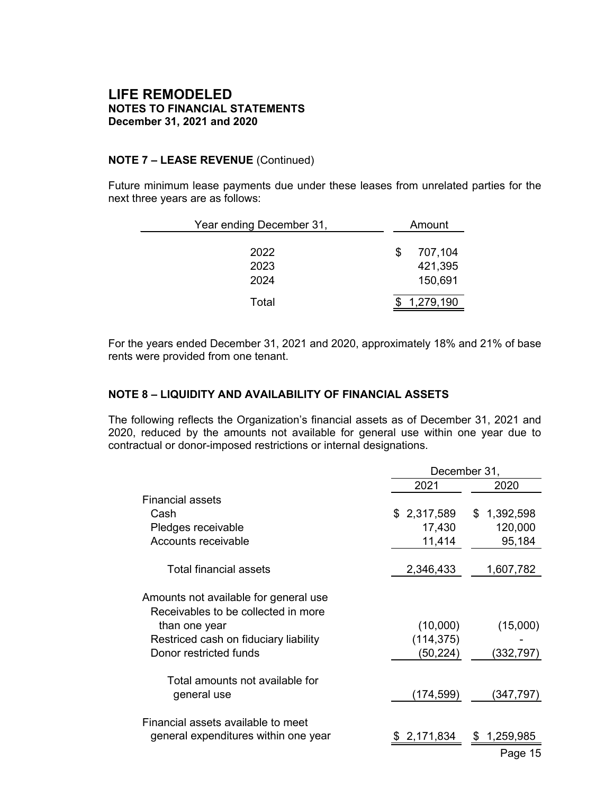#### **NOTE 7 – LEASE REVENUE** (Continued)

Future minimum lease payments due under these leases from unrelated parties for the next three years are as follows:

| Year ending December 31, | Amount |                               |  |  |  |
|--------------------------|--------|-------------------------------|--|--|--|
| 2022<br>2023<br>2024     | S      | 707,104<br>421,395<br>150,691 |  |  |  |
| Total                    |        | 1,279,190                     |  |  |  |

For the years ended December 31, 2021 and 2020, approximately 18% and 21% of base rents were provided from one tenant.

#### **NOTE 8 – LIQUIDITY AND AVAILABILITY OF FINANCIAL ASSETS**

The following reflects the Organization's financial assets as of December 31, 2021 and 2020, reduced by the amounts not available for general use within one year due to contractual or donor-imposed restrictions or internal designations.

|                                                                              | December 31, |                  |  |  |  |
|------------------------------------------------------------------------------|--------------|------------------|--|--|--|
|                                                                              | 2021         | 2020             |  |  |  |
| Financial assets                                                             |              |                  |  |  |  |
| Cash                                                                         | \$2,317,589  | 1,392,598<br>\$. |  |  |  |
| Pledges receivable                                                           | 17,430       | 120,000          |  |  |  |
| Accounts receivable                                                          | 11,414       | 95,184           |  |  |  |
| Total financial assets                                                       | 2,346,433    | 1,607,782        |  |  |  |
| Amounts not available for general use<br>Receivables to be collected in more |              |                  |  |  |  |
| than one year                                                                | (10,000)     | (15,000)         |  |  |  |
| Restriced cash on fiduciary liability                                        | (114, 375)   |                  |  |  |  |
| Donor restricted funds                                                       | (50, 224)    | (332,797)        |  |  |  |
| Total amounts not available for                                              |              |                  |  |  |  |
| general use                                                                  | (174,599)    | (347,797)        |  |  |  |
| Financial assets available to meet                                           |              |                  |  |  |  |
| general expenditures within one year                                         | 2,171,834    | 1,259,985<br>S.  |  |  |  |
|                                                                              |              | Page 15          |  |  |  |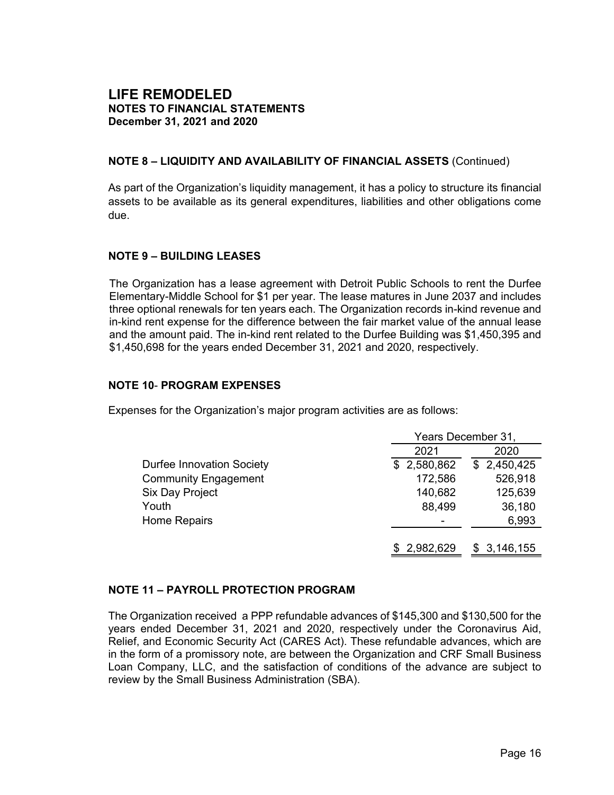#### **NOTE 8 – LIQUIDITY AND AVAILABILITY OF FINANCIAL ASSETS** (Continued)

As part of the Organization's liquidity management, it has a policy to structure its financial assets to be available as its general expenditures, liabilities and other obligations come due.

#### **NOTE 9 – BUILDING LEASES**

The Organization has a lease agreement with Detroit Public Schools to rent the Durfee Elementary-Middle School for \$1 per year. The lease matures in June 2037 and includes three optional renewals for ten years each. The Organization records in-kind revenue and in-kind rent expense for the difference between the fair market value of the annual lease and the amount paid. The in-kind rent related to the Durfee Building was \$1,450,395 and \$1,450,698 for the years ended December 31, 2021 and 2020, respectively.

#### **NOTE 10**- **PROGRAM EXPENSES**

Expenses for the Organization's major program activities are as follows:

|                                  | Years December 31, |                 |  |  |  |
|----------------------------------|--------------------|-----------------|--|--|--|
|                                  | 2021               | 2020            |  |  |  |
| <b>Durfee Innovation Society</b> | \$2,580,862        | \$2,450,425     |  |  |  |
| <b>Community Engagement</b>      | 172,586            | 526,918         |  |  |  |
| Six Day Project                  | 140,682            | 125,639         |  |  |  |
| Youth                            | 88,499             | 36,180          |  |  |  |
| <b>Home Repairs</b>              |                    | 6,993           |  |  |  |
|                                  |                    |                 |  |  |  |
|                                  | \$2,982,629        | 3,146,155<br>S. |  |  |  |

#### **NOTE 11 – PAYROLL PROTECTION PROGRAM**

The Organization received a PPP refundable advances of \$145,300 and \$130,500 for the years ended December 31, 2021 and 2020, respectively under the Coronavirus Aid, Relief, and Economic Security Act (CARES Act). These refundable advances, which are in the form of a promissory note, are between the Organization and CRF Small Business Loan Company, LLC, and the satisfaction of conditions of the advance are subject to review by the Small Business Administration (SBA).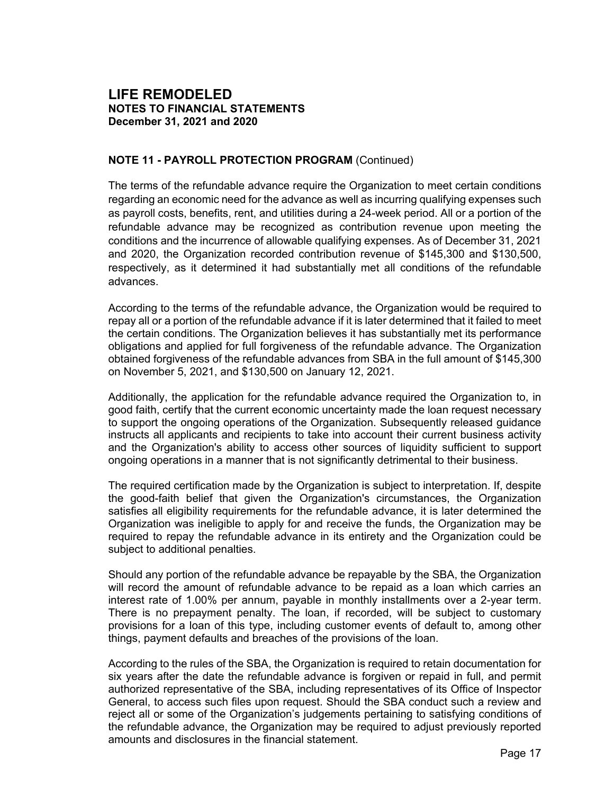## **NOTE 11 - PAYROLL PROTECTION PROGRAM** (Continued)

The terms of the refundable advance require the Organization to meet certain conditions regarding an economic need for the advance as well as incurring qualifying expenses such as payroll costs, benefits, rent, and utilities during a 24-week period. All or a portion of the refundable advance may be recognized as contribution revenue upon meeting the conditions and the incurrence of allowable qualifying expenses. As of December 31, 2021 and 2020, the Organization recorded contribution revenue of \$145,300 and \$130,500, respectively, as it determined it had substantially met all conditions of the refundable advances.

According to the terms of the refundable advance, the Organization would be required to repay all or a portion of the refundable advance if it is later determined that it failed to meet the certain conditions. The Organization believes it has substantially met its performance obligations and applied for full forgiveness of the refundable advance. The Organization obtained forgiveness of the refundable advances from SBA in the full amount of \$145,300 on November 5, 2021, and \$130,500 on January 12, 2021.

Additionally, the application for the refundable advance required the Organization to, in good faith, certify that the current economic uncertainty made the loan request necessary to support the ongoing operations of the Organization. Subsequently released guidance instructs all applicants and recipients to take into account their current business activity and the Organization's ability to access other sources of liquidity sufficient to support ongoing operations in a manner that is not significantly detrimental to their business.

The required certification made by the Organization is subject to interpretation. If, despite the good-faith belief that given the Organization's circumstances, the Organization satisfies all eligibility requirements for the refundable advance, it is later determined the Organization was ineligible to apply for and receive the funds, the Organization may be required to repay the refundable advance in its entirety and the Organization could be subject to additional penalties.

Should any portion of the refundable advance be repayable by the SBA, the Organization will record the amount of refundable advance to be repaid as a loan which carries an interest rate of 1.00% per annum, payable in monthly installments over a 2-year term. There is no prepayment penalty. The loan, if recorded, will be subject to customary provisions for a loan of this type, including customer events of default to, among other things, payment defaults and breaches of the provisions of the loan.

According to the rules of the SBA, the Organization is required to retain documentation for six years after the date the refundable advance is forgiven or repaid in full, and permit authorized representative of the SBA, including representatives of its Office of Inspector General, to access such files upon request. Should the SBA conduct such a review and reject all or some of the Organization's judgements pertaining to satisfying conditions of the refundable advance, the Organization may be required to adjust previously reported amounts and disclosures in the financial statement.